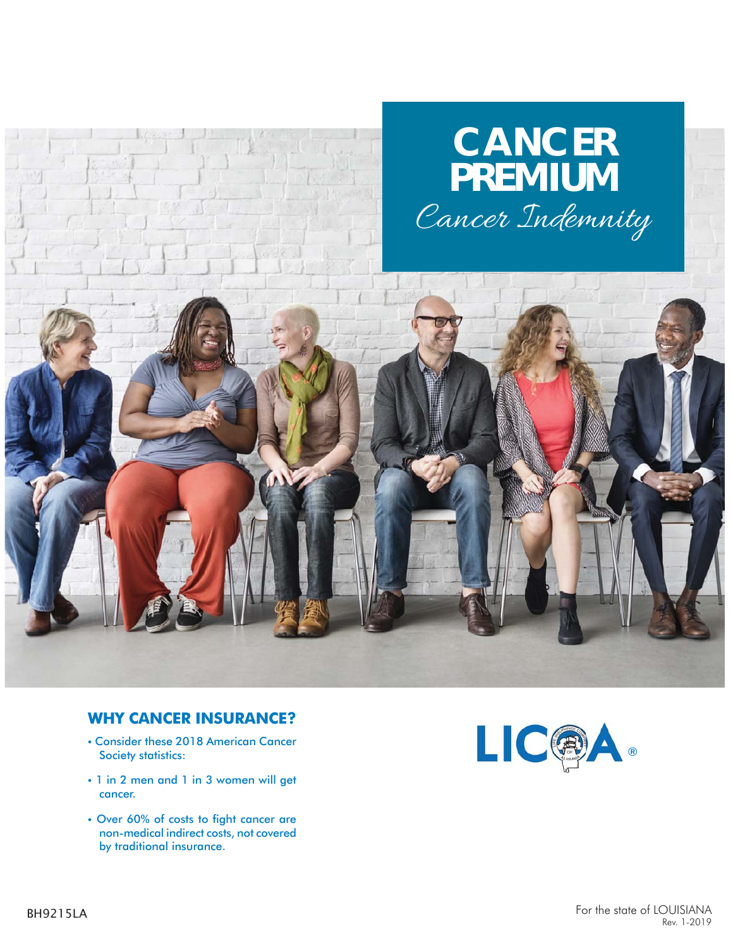

### **WHY CANCER INSURANCE?**

- Consider these 2018 American Cancer Society statistics:
- 1 in 2 men and 1 in 3 women will get cancer.
- Over 60% of costs to fight cancer are non-medical indirect costs, not covered by traditional insurance.

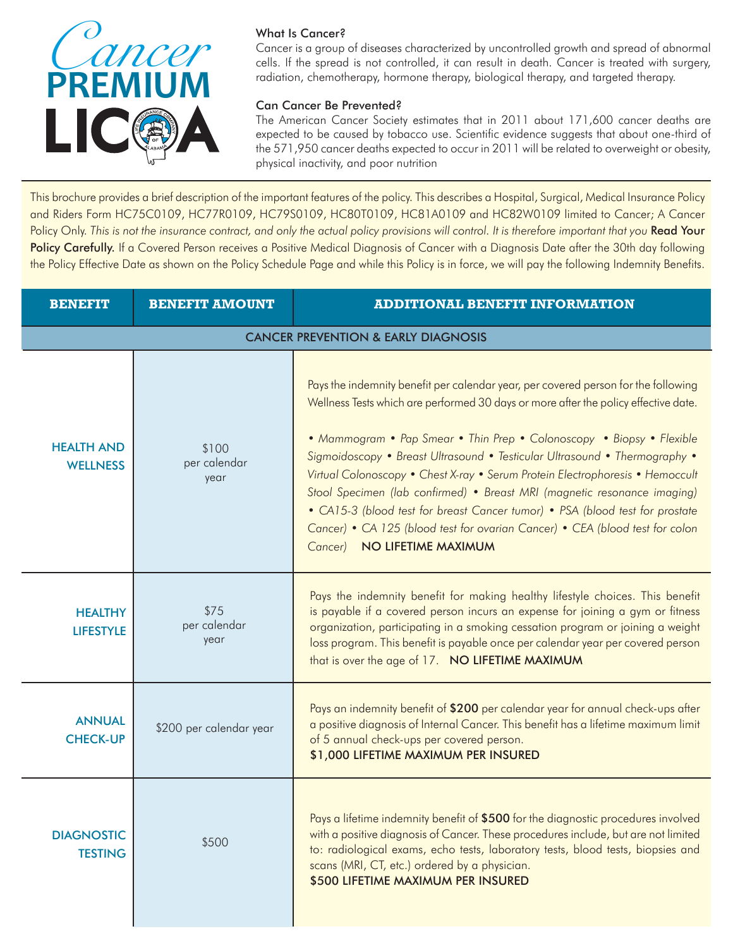

#### What Is Cancer?

Cancer is a group of diseases characterized by uncontrolled growth and spread of abnormal cells. If the spread is not controlled, it can result in death. Cancer is treated with surgery, radiation, chemotherapy, hormone therapy, biological therapy, and targeted therapy.

#### Can Cancer Be Prevented?

The American Cancer Society estimates that in 2011 about 171,600 cancer deaths are expected to be caused by tobacco use. Scientific evidence suggests that about one-third of the 571,950 cancer deaths expected to occur in 2011 will be related to overweight or obesity, physical inactivity, and poor nutrition

This brochure provides a brief description of the important features of the policy. This describes a Hospital, Surgical, Medical Insurance Policy and Riders Form HC75C0109, HC77R0109, HC79S0109, HC80T0109, HC81A0109 and HC82W0109 limited to Cancer; A Cancer Policy Only. This is not the insurance contract, and only the actual policy provisions will control. It is therefore important that you **Read Your** Policy Carefully. If a Covered Person receives a Positive Medical Diagnosis of Cancer with a Diagnosis Date after the 30th day following the Policy Effective Date as shown on the Policy Schedule Page and while this Policy is in force, we will pay the following Indemnity Benefits.

| <b>BENEFIT</b>                                 | <b>BENEFIT AMOUNT</b><br><b>ADDITIONAL BENEFIT INFORMATION</b> |                                                                                                                                                                                                                                                                                                                                                                                                                                                                                                                                                                                                                                                                                              |  |  |  |  |
|------------------------------------------------|----------------------------------------------------------------|----------------------------------------------------------------------------------------------------------------------------------------------------------------------------------------------------------------------------------------------------------------------------------------------------------------------------------------------------------------------------------------------------------------------------------------------------------------------------------------------------------------------------------------------------------------------------------------------------------------------------------------------------------------------------------------------|--|--|--|--|
| <b>CANCER PREVENTION &amp; EARLY DIAGNOSIS</b> |                                                                |                                                                                                                                                                                                                                                                                                                                                                                                                                                                                                                                                                                                                                                                                              |  |  |  |  |
| <b>HEALTH AND</b><br><b>WELLNESS</b>           | \$100<br>per calendar<br>year                                  | Pays the indemnity benefit per calendar year, per covered person for the following<br>Wellness Tests which are performed 30 days or more after the policy effective date.<br>• Mammogram • Pap Smear • Thin Prep • Colonoscopy • Biopsy • Flexible<br>Sigmoidoscopy • Breast Ultrasound • Testicular Ultrasound • Thermography •<br>Virtual Colonoscopy • Chest X-ray • Serum Protein Electrophoresis • Hemoccult<br>Stool Specimen (lab confirmed) • Breast MRI (magnetic resonance imaging)<br>• CA15-3 (blood test for breast Cancer tumor) • PSA (blood test for prostate<br>Cancer) • CA 125 (blood test for ovarian Cancer) • CEA (blood test for colon<br>Cancer) NO LIFETIME MAXIMUM |  |  |  |  |
| <b>HEALTHY</b><br><b>LIFESTYLE</b>             | \$75<br>per calendar<br>year                                   | Pays the indemnity benefit for making healthy lifestyle choices. This benefit<br>is payable if a covered person incurs an expense for joining a gym or fitness<br>organization, participating in a smoking cessation program or joining a weight<br>loss program. This benefit is payable once per calendar year per covered person<br>that is over the age of 17. NO LIFETIME MAXIMUM                                                                                                                                                                                                                                                                                                       |  |  |  |  |
| <b>ANNUAL</b><br><b>CHECK-UP</b>               | \$200 per calendar year                                        | Pays an indemnity benefit of \$200 per calendar year for annual check-ups after<br>a positive diagnosis of Internal Cancer. This benefit has a lifetime maximum limit<br>of 5 annual check-ups per covered person.<br>\$1,000 LIFETIME MAXIMUM PER INSURED                                                                                                                                                                                                                                                                                                                                                                                                                                   |  |  |  |  |
| <b>DIAGNOSTIC</b><br><b>TESTING</b>            | \$500                                                          | Pays a lifetime indemnity benefit of \$500 for the diagnostic procedures involved<br>with a positive diagnosis of Cancer. These procedures include, but are not limited<br>to: radiological exams, echo tests, laboratory tests, blood tests, biopsies and<br>scans (MRI, CT, etc.) ordered by a physician.<br>\$500 LIFETIME MAXIMUM PER INSURED                                                                                                                                                                                                                                                                                                                                            |  |  |  |  |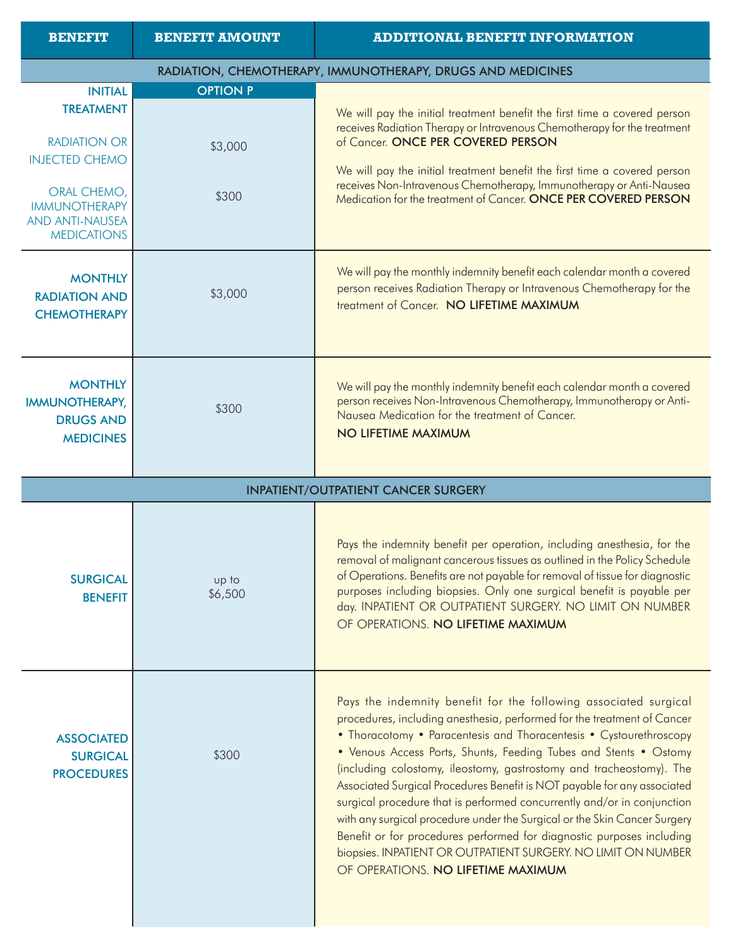| <b>BENEFIT</b>                                                                      | <b>BENEFIT AMOUNT</b> | <b>ADDITIONAL BENEFIT INFORMATION</b>                                                                                                                                                                                                                                                                                                |
|-------------------------------------------------------------------------------------|-----------------------|--------------------------------------------------------------------------------------------------------------------------------------------------------------------------------------------------------------------------------------------------------------------------------------------------------------------------------------|
|                                                                                     |                       | RADIATION, CHEMOTHERAPY, IMMUNOTHERAPY, DRUGS AND MEDICINES                                                                                                                                                                                                                                                                          |
| <b>INITIAL</b>                                                                      | <b>OPTION P</b>       |                                                                                                                                                                                                                                                                                                                                      |
| <b>TREATMENT</b><br><b>RADIATION OR</b><br><b>INJECTED CHEMO</b>                    | \$3,000               | We will pay the initial treatment benefit the first time a covered person<br>receives Radiation Therapy or Intravenous Chemotherapy for the treatment<br>of Cancer. ONCE PER COVERED PERSON                                                                                                                                          |
| ORAL CHEMO,<br><b>IMMUNOTHERAPY</b><br><b>AND ANTI-NAUSEA</b><br><b>MEDICATIONS</b> | \$300                 | We will pay the initial treatment benefit the first time a covered person<br>receives Non-Intravenous Chemotherapy, Immunotherapy or Anti-Nausea<br>Medication for the treatment of Cancer. ONCE PER COVERED PERSON                                                                                                                  |
| <b>MONTHLY</b><br><b>RADIATION AND</b><br><b>CHEMOTHERAPY</b>                       | \$3,000               | We will pay the monthly indemnity benefit each calendar month a covered<br>person receives Radiation Therapy or Intravenous Chemotherapy for the<br>treatment of Cancer. NO LIFETIME MAXIMUM                                                                                                                                         |
| <b>MONTHLY</b><br><b>IMMUNOTHERAPY,</b><br><b>DRUGS AND</b><br><b>MEDICINES</b>     | \$300                 | We will pay the monthly indemnity benefit each calendar month a covered<br>person receives Non-Intravenous Chemotherapy, Immunotherapy or Anti-<br>Nausea Medication for the treatment of Cancer.<br>NO LIFETIME MAXIMUM                                                                                                             |
|                                                                                     |                       | <b>INPATIENT/OUTPATIENT CANCER SURGERY</b>                                                                                                                                                                                                                                                                                           |
|                                                                                     |                       | Pays the indemnity benefit per operation, including anesthesia, for the                                                                                                                                                                                                                                                              |
| <b>SURGICAL</b><br><b>BENEFIT</b>                                                   | up to<br>\$6,500      | removal of malignant cancerous tissues as outlined in the Policy Schedule<br>of Operations. Benefits are not payable for removal of tissue for diagnostic<br>purposes including biopsies. Only one surgical benefit is payable per<br>day. INPATIENT OR OUTPATIENT SURGERY. NO LIMIT ON NUMBER<br>OF OPERATIONS. NO LIFETIME MAXIMUM |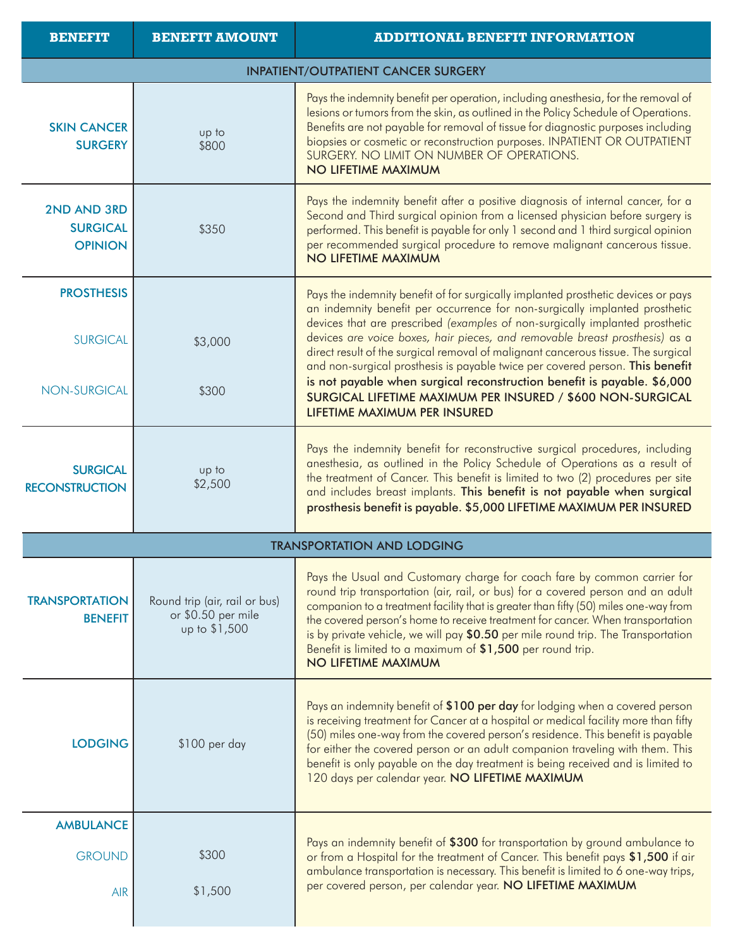| <b>BENEFIT</b>                                   | <b>BENEFIT AMOUNT</b>                                                | <b>ADDITIONAL BENEFIT INFORMATION</b>                                                                                                                                                                                                                                                                                                                                                                                                                                                                           |  |  |  |
|--------------------------------------------------|----------------------------------------------------------------------|-----------------------------------------------------------------------------------------------------------------------------------------------------------------------------------------------------------------------------------------------------------------------------------------------------------------------------------------------------------------------------------------------------------------------------------------------------------------------------------------------------------------|--|--|--|
| <b>INPATIENT/OUTPATIENT CANCER SURGERY</b>       |                                                                      |                                                                                                                                                                                                                                                                                                                                                                                                                                                                                                                 |  |  |  |
| <b>SKIN CANCER</b><br><b>SURGERY</b>             | up to<br>\$800                                                       | Pays the indemnity benefit per operation, including anesthesia, for the removal of<br>lesions or tumors from the skin, as outlined in the Policy Schedule of Operations.<br>Benefits are not payable for removal of tissue for diagnostic purposes including<br>biopsies or cosmetic or reconstruction purposes. INPATIENT OR OUTPATIENT<br>SURGERY. NO LIMIT ON NUMBER OF OPERATIONS.<br>NO LIFETIME MAXIMUM                                                                                                   |  |  |  |
| 2ND AND 3RD<br><b>SURGICAL</b><br><b>OPINION</b> | \$350                                                                | Pays the indemnity benefit after a positive diagnosis of internal cancer, for a<br>Second and Third surgical opinion from a licensed physician before surgery is<br>performed. This benefit is payable for only 1 second and 1 third surgical opinion<br>per recommended surgical procedure to remove malignant cancerous tissue.<br>NO LIFETIME MAXIMUM                                                                                                                                                        |  |  |  |
| <b>PROSTHESIS</b><br><b>SURGICAL</b>             | \$3,000                                                              | Pays the indemnity benefit of for surgically implanted prosthetic devices or pays<br>an indemnity benefit per occurrence for non-surgically implanted prosthetic<br>devices that are prescribed (examples of non-surgically implanted prosthetic<br>devices are voice boxes, hair pieces, and removable breast prosthesis) as a<br>direct result of the surgical removal of malignant cancerous tissue. The surgical                                                                                            |  |  |  |
| <b>NON-SURGICAL</b>                              | \$300                                                                | and non-surgical prosthesis is payable twice per covered person. This benefit<br>is not payable when surgical reconstruction benefit is payable. \$6,000<br>SURGICAL LIFETIME MAXIMUM PER INSURED / \$600 NON-SURGICAL<br>LIFETIME MAXIMUM PER INSURED                                                                                                                                                                                                                                                          |  |  |  |
| <b>SURGICAL</b><br><b>RECONSTRUCTION</b>         | up to<br>\$2,500                                                     | Pays the indemnity benefit for reconstructive surgical procedures, including<br>anesthesia, as outlined in the Policy Schedule of Operations as a result of<br>the treatment of Cancer. This benefit is limited to two (2) procedures per site<br>and includes breast implants. This benefit is not payable when surgical<br>prosthesis benefit is payable. \$5,000 LIFETIME MAXIMUM PER INSURED                                                                                                                |  |  |  |
|                                                  |                                                                      | <b>TRANSPORTATION AND LODGING</b>                                                                                                                                                                                                                                                                                                                                                                                                                                                                               |  |  |  |
| <b>TRANSPORTATION</b><br><b>BENEFIT</b>          | Round trip (air, rail or bus)<br>or \$0.50 per mile<br>up to \$1,500 | Pays the Usual and Customary charge for coach fare by common carrier for<br>round trip transportation (air, rail, or bus) for a covered person and an adult<br>companion to a treatment facility that is greater than fifty (50) miles one-way from<br>the covered person's home to receive treatment for cancer. When transportation<br>is by private vehicle, we will pay \$0.50 per mile round trip. The Transportation<br>Benefit is limited to a maximum of \$1,500 per round trip.<br>NO LIFETIME MAXIMUM |  |  |  |
| <b>LODGING</b>                                   | \$100 per day                                                        | Pays an indemnity benefit of \$100 per day for lodging when a covered person<br>is receiving treatment for Cancer at a hospital or medical facility more than fifty<br>(50) miles one-way from the covered person's residence. This benefit is payable<br>for either the covered person or an adult companion traveling with them. This<br>benefit is only payable on the day treatment is being received and is limited to<br>120 days per calendar year. NO LIFETIME MAXIMUM                                  |  |  |  |
| <b>AMBULANCE</b>                                 |                                                                      |                                                                                                                                                                                                                                                                                                                                                                                                                                                                                                                 |  |  |  |
| <b>GROUND</b>                                    | \$300                                                                | Pays an indemnity benefit of \$300 for transportation by ground ambulance to<br>or from a Hospital for the treatment of Cancer. This benefit pays \$1,500 if air                                                                                                                                                                                                                                                                                                                                                |  |  |  |
| <b>AIR</b>                                       | \$1,500                                                              | ambulance transportation is necessary. This benefit is limited to 6 one-way trips,<br>per covered person, per calendar year. NO LIFETIME MAXIMUM                                                                                                                                                                                                                                                                                                                                                                |  |  |  |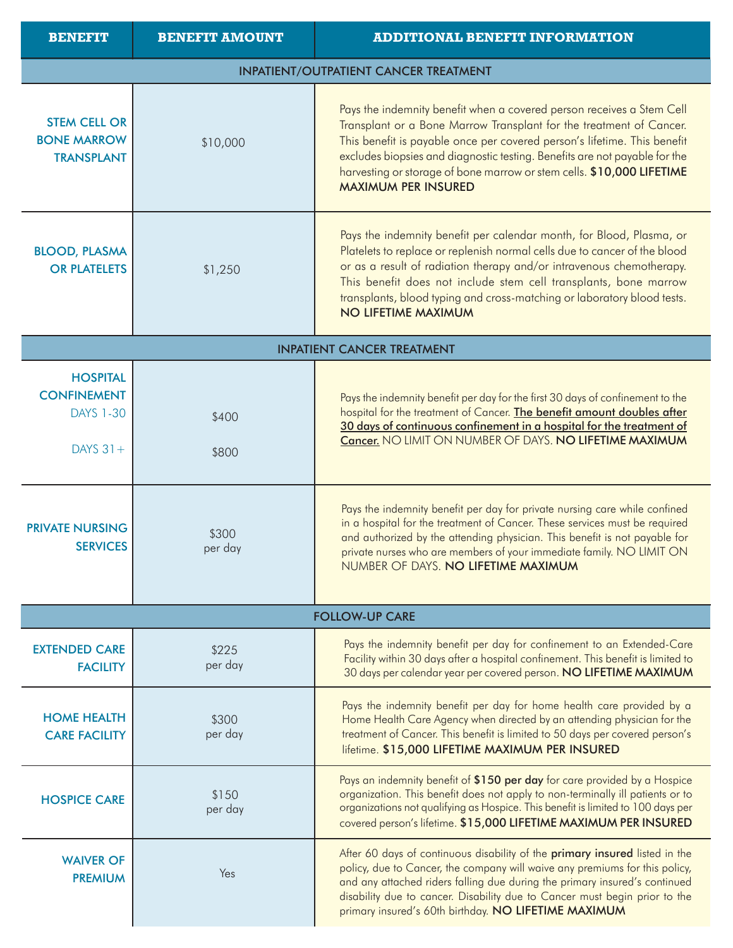| <b>BENEFIT</b>                                                          | <b>BENEFIT AMOUNT</b>                        | <b>ADDITIONAL BENEFIT INFORMATION</b>                                                                                                                                                                                                                                                                                                                                                                         |  |  |  |  |
|-------------------------------------------------------------------------|----------------------------------------------|---------------------------------------------------------------------------------------------------------------------------------------------------------------------------------------------------------------------------------------------------------------------------------------------------------------------------------------------------------------------------------------------------------------|--|--|--|--|
|                                                                         | <b>INPATIENT/OUTPATIENT CANCER TREATMENT</b> |                                                                                                                                                                                                                                                                                                                                                                                                               |  |  |  |  |
| <b>STEM CELL OR</b><br><b>BONE MARROW</b><br><b>TRANSPLANT</b>          | \$10,000                                     | Pays the indemnity benefit when a covered person receives a Stem Cell<br>Transplant or a Bone Marrow Transplant for the treatment of Cancer.<br>This benefit is payable once per covered person's lifetime. This benefit<br>excludes biopsies and diagnostic testing. Benefits are not payable for the<br>harvesting or storage of bone marrow or stem cells. \$10,000 LIFETIME<br><b>MAXIMUM PER INSURED</b> |  |  |  |  |
| <b>BLOOD, PLASMA</b><br><b>OR PLATELETS</b>                             | \$1,250                                      | Pays the indemnity benefit per calendar month, for Blood, Plasma, or<br>Platelets to replace or replenish normal cells due to cancer of the blood<br>or as a result of radiation therapy and/or intravenous chemotherapy.<br>This benefit does not include stem cell transplants, bone marrow<br>transplants, blood typing and cross-matching or laboratory blood tests.<br>NO LIFETIME MAXIMUM               |  |  |  |  |
|                                                                         |                                              | <b>INPATIENT CANCER TREATMENT</b>                                                                                                                                                                                                                                                                                                                                                                             |  |  |  |  |
| <b>HOSPITAL</b><br><b>CONFINEMENT</b><br><b>DAYS 1-30</b><br>DAYS $31+$ | \$400<br>\$800                               | Pays the indemnity benefit per day for the first 30 days of confinement to the<br>hospital for the treatment of Cancer. The benefit amount doubles after<br>30 days of continuous confinement in a hospital for the treatment of<br>Cancer. NO LIMIT ON NUMBER OF DAYS. NO LIFETIME MAXIMUM                                                                                                                   |  |  |  |  |
| <b>PRIVATE NURSING</b><br><b>SERVICES</b>                               | \$300<br>per day                             | Pays the indemnity benefit per day for private nursing care while confined<br>in a hospital for the treatment of Cancer. These services must be required<br>and authorized by the attending physician. This benefit is not payable for<br>private nurses who are members of your immediate family. NO LIMIT ON<br>NUMBER OF DAYS. NO LIFETIME MAXIMUM                                                         |  |  |  |  |
|                                                                         |                                              | <b>FOLLOW-UP CARE</b>                                                                                                                                                                                                                                                                                                                                                                                         |  |  |  |  |
| <b>EXTENDED CARE</b><br><b>FACILITY</b>                                 | \$225<br>per day                             | Pays the indemnity benefit per day for confinement to an Extended-Care<br>Facility within 30 days after a hospital confinement. This benefit is limited to<br>30 days per calendar year per covered person. NO LIFETIME MAXIMUM                                                                                                                                                                               |  |  |  |  |
| <b>HOME HEALTH</b><br><b>CARE FACILITY</b>                              | \$300<br>per day                             | Pays the indemnity benefit per day for home health care provided by a<br>Home Health Care Agency when directed by an attending physician for the<br>treatment of Cancer. This benefit is limited to 50 days per covered person's<br>lifetime. \$15,000 LIFETIME MAXIMUM PER INSURED                                                                                                                           |  |  |  |  |
| <b>HOSPICE CARE</b>                                                     | \$150<br>per day                             | Pays an indemnity benefit of \$150 per day for care provided by a Hospice<br>organization. This benefit does not apply to non-terminally ill patients or to<br>organizations not qualifying as Hospice. This benefit is limited to 100 days per<br>covered person's lifetime. \$15,000 LIFETIME MAXIMUM PER INSURED                                                                                           |  |  |  |  |
| <b>WAIVER OF</b><br><b>PREMIUM</b>                                      | Yes                                          | After 60 days of continuous disability of the primary insured listed in the<br>policy, due to Cancer, the company will waive any premiums for this policy,<br>and any attached riders falling due during the primary insured's continued<br>disability due to cancer. Disability due to Cancer must begin prior to the<br>primary insured's 60th birthday. NO LIFETIME MAXIMUM                                |  |  |  |  |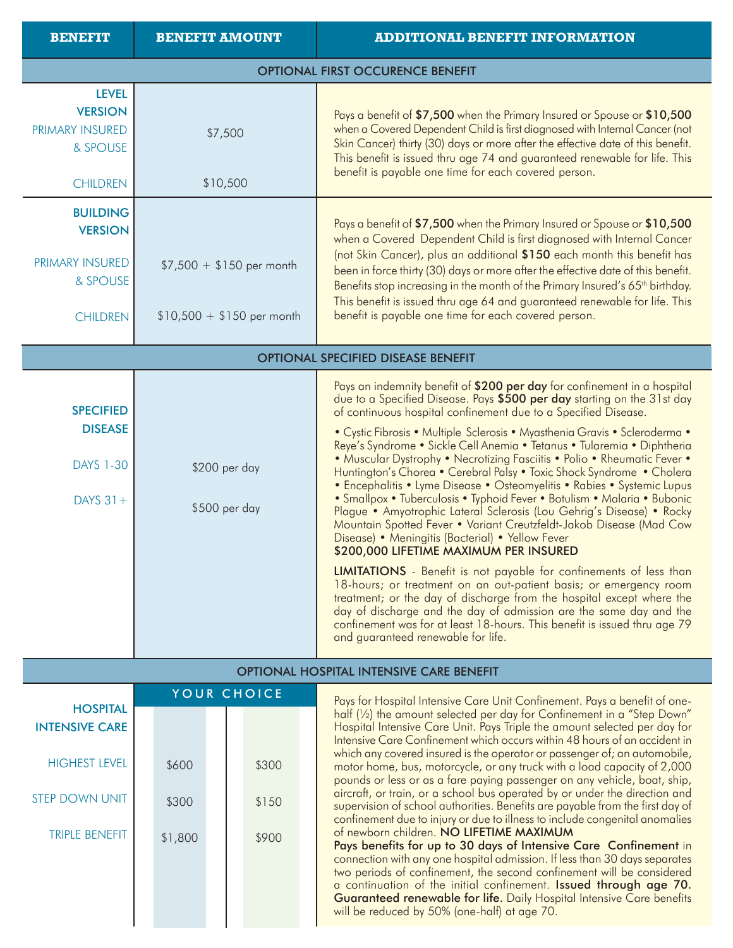| <b>BENEFIT</b>                                                                      | <b>BENEFIT AMOUNT</b>                                   | <b>ADDITIONAL BENEFIT INFORMATION</b>                                                                                                                                                                                                                                                                                                                                                                                                                                                                                                                                                                                                                                                                                                                                                                                                                                                                                                                                                                                                                                                                                                                                                                                                                                                                                                                        |  |  |
|-------------------------------------------------------------------------------------|---------------------------------------------------------|--------------------------------------------------------------------------------------------------------------------------------------------------------------------------------------------------------------------------------------------------------------------------------------------------------------------------------------------------------------------------------------------------------------------------------------------------------------------------------------------------------------------------------------------------------------------------------------------------------------------------------------------------------------------------------------------------------------------------------------------------------------------------------------------------------------------------------------------------------------------------------------------------------------------------------------------------------------------------------------------------------------------------------------------------------------------------------------------------------------------------------------------------------------------------------------------------------------------------------------------------------------------------------------------------------------------------------------------------------------|--|--|
| <b>OPTIONAL FIRST OCCURENCE BENEFIT</b>                                             |                                                         |                                                                                                                                                                                                                                                                                                                                                                                                                                                                                                                                                                                                                                                                                                                                                                                                                                                                                                                                                                                                                                                                                                                                                                                                                                                                                                                                                              |  |  |
| <b>LEVEL</b><br><b>VERSION</b><br>PRIMARY INSURED<br>& SPOUSE<br><b>CHILDREN</b>    | \$7,500<br>\$10,500                                     | Pays a benefit of \$7,500 when the Primary Insured or Spouse or \$10,500<br>when a Covered Dependent Child is first diagnosed with Internal Cancer (not<br>Skin Cancer) thirty (30) days or more after the effective date of this benefit.<br>This benefit is issued thru age 74 and guaranteed renewable for life. This<br>benefit is payable one time for each covered person.                                                                                                                                                                                                                                                                                                                                                                                                                                                                                                                                                                                                                                                                                                                                                                                                                                                                                                                                                                             |  |  |
| <b>BUILDING</b><br><b>VERSION</b><br>PRIMARY INSURED<br>& SPOUSE<br><b>CHILDREN</b> | $$7,500 + $150$ per month<br>$$10,500 + $150$ per month | Pays a benefit of \$7,500 when the Primary Insured or Spouse or \$10,500<br>when a Covered Dependent Child is first diagnosed with Internal Cancer<br>(not Skin Cancer), plus an additional \$150 each month this benefit has<br>been in force thirty (30) days or more after the effective date of this benefit.<br>Benefits stop increasing in the month of the Primary Insured's 65 <sup>th</sup> birthday.<br>This benefit is issued thru age 64 and guaranteed renewable for life. This<br>benefit is payable one time for each covered person.                                                                                                                                                                                                                                                                                                                                                                                                                                                                                                                                                                                                                                                                                                                                                                                                         |  |  |
|                                                                                     |                                                         | <b>OPTIONAL SPECIFIED DISEASE BENEFIT</b>                                                                                                                                                                                                                                                                                                                                                                                                                                                                                                                                                                                                                                                                                                                                                                                                                                                                                                                                                                                                                                                                                                                                                                                                                                                                                                                    |  |  |
| <b>SPECIFIED</b><br><b>DISEASE</b><br><b>DAYS 1-30</b><br>DAYS $31+$                | \$200 per day<br>\$500 per day                          | Pays an indemnity benefit of \$200 per day for confinement in a hospital<br>due to a Specified Disease. Pays \$500 per day starting on the 31st day<br>of continuous hospital confinement due to a Specified Disease.<br>• Cystic Fibrosis • Multiple Sclerosis • Myasthenia Gravis • Scleroderma •<br>Reye's Syndrome • Sickle Cell Anemia • Tetanus • Tularemia • Diphtheria<br>. Muscular Dystrophy . Necrotizing Fasciitis . Polio . Rheumatic Fever .<br>Huntington's Chorea • Cerebral Palsy • Toxic Shock Syndrome • Cholera<br>· Encephalitis • Lyme Disease • Osteomyelitis • Rabies • Systemic Lupus<br>· Smallpox · Tuberculosis · Typhoid Fever · Botulism · Malaria · Bubonic<br>Plague • Amyotrophic Lateral Sclerosis (Lou Gehrig's Disease) • Rocky<br>Mountain Spotted Fever • Variant Creutzfeldt-Jakob Disease (Mad Cow<br>Disease) • Meningitis (Bacterial) • Yellow Fever<br>\$200,000 LIFETIME MAXIMUM PER INSURED<br><b>LIMITATIONS</b> - Benefit is not payable for confinements of less than<br>18-hours; or treatment on an out-patient basis; or emergency room<br>treatment; or the day of discharge from the hospital except where the<br>day of discharge and the day of admission are the same day and the<br>confinement was for at least 18-hours. This benefit is issued thru age 79<br>and guaranteed renewable for life. |  |  |
|                                                                                     |                                                         | <b>OPTIONAL HOSPITAL INTENSIVE CARE BENEFIT</b>                                                                                                                                                                                                                                                                                                                                                                                                                                                                                                                                                                                                                                                                                                                                                                                                                                                                                                                                                                                                                                                                                                                                                                                                                                                                                                              |  |  |
|                                                                                     |                                                         |                                                                                                                                                                                                                                                                                                                                                                                                                                                                                                                                                                                                                                                                                                                                                                                                                                                                                                                                                                                                                                                                                                                                                                                                                                                                                                                                                              |  |  |

|                                          | YOUR CHOICE |         |  |  |       |  |
|------------------------------------------|-------------|---------|--|--|-------|--|
| <b>HOSPITAL</b><br><b>INTENSIVE CARE</b> |             |         |  |  |       |  |
| <b>HIGHEST LEVEL</b>                     |             | \$600   |  |  | \$300 |  |
| <b>STEP DOWN UNIT</b>                    |             | \$300   |  |  | \$150 |  |
| <b>TRIPLE BENEFIT</b>                    |             | \$1,800 |  |  | \$900 |  |
|                                          |             |         |  |  |       |  |
|                                          |             |         |  |  |       |  |

Pays for Hospital Intensive Care Unit Confinement. Pays a benefit of onehalf (1/2) the amount selected per day for Confinement in a "Step Down" Hospital Intensive Care Unit. Pays Triple the amount selected per day for Intensive Care Confinement which occurs within 48 hours of an accident in which any covered insured is the operator or passenger of; an automobile, motor home, bus, motorcycle, or any truck with a load capacity of 2,000 pounds or less or as a fare paying passenger on any vehicle, boat, ship, aircraft, or train, or a school bus operated by or under the direction and supervision of school authorities. Benefits are payable from the first day of confinement due to injury or due to illness to include congenital anomalies of newborn children. NO LIFETIME MAXIMUM Pays benefits for up to 30 days of Intensive Care Confinement in

connection with any one hospital admission. If less than 30 days separates two periods of confinement, the second confinement will be considered a continuation of the initial confinement. Issued through age 70. Guaranteed renewable for life. Daily Hospital Intensive Care benefits will be reduced by 50% (one-half) at age 70.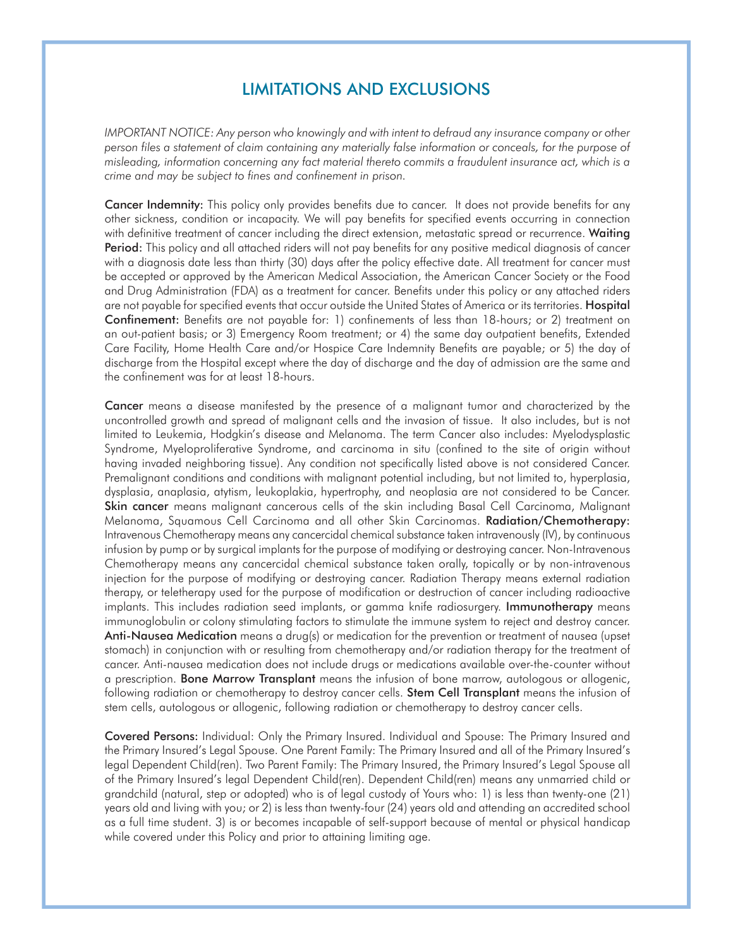## LIMITATIONS AND EXCLUSIONS

*IMPORTANT NOTICE: Any person who knowingly and with intent to defraud any insurance company or other* person files a statement of claim containing any materially false information or conceals, for the purpose of *misleading, information concerning any fact material thereto commits a fraudulent insurance act, which is a crime and may be subject to fines and confinement in prison.*

Cancer Indemnity: This policy only provides benefits due to cancer. It does not provide benefits for any other sickness, condition or incapacity. We will pay benefits for specified events occurring in connection with definitive treatment of cancer including the direct extension, metastatic spread or recurrence. Waiting Period: This policy and all attached riders will not pay benefits for any positive medical diagnosis of cancer with a diagnosis date less than thirty (30) days after the policy effective date. All treatment for cancer must be accepted or approved by the American Medical Association, the American Cancer Society or the Food and Drug Administration (FDA) as a treatment for cancer. Benefits under this policy or any attached riders are not payable for specified events that occur outside the United States of America or its territories. Hospital Confinement: Benefits are not payable for: 1) confinements of less than 18-hours; or 2) treatment on an out-patient basis; or 3) Emergency Room treatment; or 4) the same day outpatient benefits, Extended Care Facility, Home Health Care and/or Hospice Care Indemnity Benefits are payable; or 5) the day of discharge from the Hospital except where the day of discharge and the day of admission are the same and the confinement was for at least 18-hours.

Cancer means a disease manifested by the presence of a malignant tumor and characterized by the uncontrolled growth and spread of malignant cells and the invasion of tissue. It also includes, but is not limited to Leukemia, Hodgkin's disease and Melanoma. The term Cancer also includes: Myelodysplastic Syndrome, Myeloproliferative Syndrome, and carcinoma in situ (confined to the site of origin without having invaded neighboring tissue). Any condition not specifically listed above is not considered Cancer. Premalignant conditions and conditions with malignant potential including, but not limited to, hyperplasia, dysplasia, anaplasia, atytism, leukoplakia, hypertrophy, and neoplasia are not considered to be Cancer. Skin cancer means malignant cancerous cells of the skin including Basal Cell Carcinoma, Malignant Melanoma, Squamous Cell Carcinoma and all other Skin Carcinomas. Radiation/Chemotherapy: Intravenous Chemotherapy means any cancercidal chemical substance taken intravenously (IV), by continuous infusion by pump or by surgical implants for the purpose of modifying or destroying cancer. Non-Intravenous Chemotherapy means any cancercidal chemical substance taken orally, topically or by non-intravenous injection for the purpose of modifying or destroying cancer. Radiation Therapy means external radiation therapy, or teletherapy used for the purpose of modification or destruction of cancer including radioactive implants. This includes radiation seed implants, or gamma knife radiosurgery. Immunotherapy means immunoglobulin or colony stimulating factors to stimulate the immune system to reject and destroy cancer. Anti-Nausea Medication means a drug(s) or medication for the prevention or treatment of nausea (upset stomach) in conjunction with or resulting from chemotherapy and/or radiation therapy for the treatment of cancer. Anti-nausea medication does not include drugs or medications available over-the-counter without a prescription. Bone Marrow Transplant means the infusion of bone marrow, autologous or allogenic, following radiation or chemotherapy to destroy cancer cells. Stem Cell Transplant means the infusion of stem cells, autologous or allogenic, following radiation or chemotherapy to destroy cancer cells.

Covered Persons: Individual: Only the Primary Insured. Individual and Spouse: The Primary Insured and the Primary Insured's Legal Spouse. One Parent Family: The Primary Insured and all of the Primary Insured's legal Dependent Child(ren). Two Parent Family: The Primary Insured, the Primary Insured's Legal Spouse all of the Primary Insured's legal Dependent Child(ren). Dependent Child(ren) means any unmarried child or grandchild (natural, step or adopted) who is of legal custody of Yours who: 1) is less than twenty-one (21) years old and living with you; or 2) is less than twenty-four (24) years old and attending an accredited school as a full time student. 3) is or becomes incapable of self-support because of mental or physical handicap while covered under this Policy and prior to attaining limiting age.